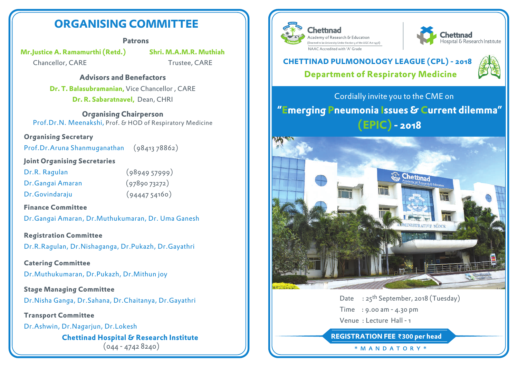# **ORGANISING COMMITTEE**

#### **Patrons**

**Mr.Justice A. Ramamurthi (Retd.) Shri. M.A.M.R. Muthiah**

Chancellor, CARE Trustee, CARE

### **Advisors and Benefactors**

**Dr. T. Balasubramanian,** Vice Chancellor , CARE **Dr. R. Sabaratnavel,** Dean, CHRI

**Organising Chairperson** Prof.Dr.N. Meenakshi, Prof. & HOD of Respiratory Medicine

### **Organising Secretary**

Prof.Dr.Aruna Shanmuganathan (98413 78862)

#### **Joint Organising Secretaries**

Dr.R. Ragulan (98949 57999) Dr.Gangai Amaran (97890 73272) Dr.Govindaraju (94447 54160)

### **Finance Committee**

Dr.Gangai Amaran, Dr.Muthukumaran, Dr. Uma Ganesh

**Registration Committee** Dr.R.Ragulan, Dr.Nishaganga, Dr.Pukazh, Dr.Gayathri

**Catering Committee** Dr.Muthukumaran, Dr.Pukazh, Dr.Mithun joy

**Stage Managing Committee** Dr.Nisha Ganga, Dr.Sahana, Dr.Chaitanya, Dr.Gayathri

**Transport Committee**

Dr.Ashwin, Dr.Nagarjun, Dr.Lokesh

**Chettinad Hospital & Research Institute**  $(044 - 47428240)$ 



Chettinad Academy of Research & Education (Deemed to be University Under Section 3 of the UGC Act 1956) NAAC Accredited with 'A' Grade



## **Department of Respiratory Medicine CHETTINAD PULMONOLOGY LEAGUE (CPL) - 2018**



Cordially invite you to the CME on **"Emerging Pneumonia Issues & Current dilemma" (EPIC) - 2018**



Date : 25<sup>th</sup> September, 2018 (Tuesday) Time : 9.00 am - 4.30 pm

Venue : Lecture Hall - 1

**REGISTRATION FEE 300 per head**

\* M ANDA T ORY \*